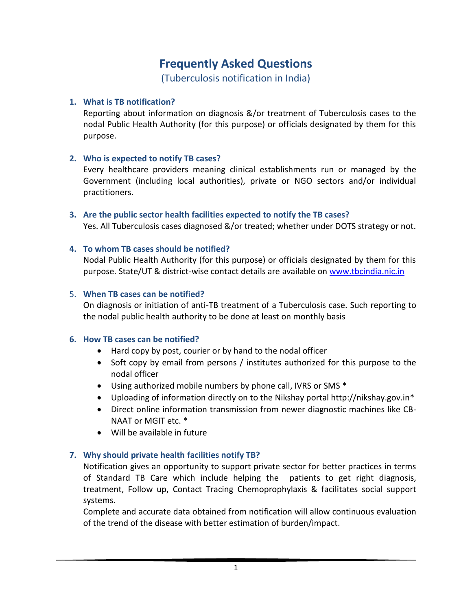# **Frequently Asked Questions**

(Tuberculosis notification in India)

### **1. What is TB notification?**

Reporting about information on diagnosis &/or treatment of Tuberculosis cases to the nodal Public Health Authority (for this purpose) or officials designated by them for this purpose.

# **2. Who is expected to notify TB cases?**

Every healthcare providers meaning clinical establishments run or managed by the Government (including local authorities), private or NGO sectors and/or individual practitioners.

#### **3. Are the public sector health facilities expected to notify the TB cases?**

Yes. All Tuberculosis cases diagnosed &/or treated; whether under DOTS strategy or not.

#### **4. To whom TB cases should be notified?**

Nodal Public Health Authority (for this purpose) or officials designated by them for this purpose. State/UT & district-wise contact details are available on [www.tbcindia.nic.in](http://www.tbcindia.nic.in/)

#### 5. **When TB cases can be notified?**

On diagnosis or initiation of anti-TB treatment of a Tuberculosis case. Such reporting to the nodal public health authority to be done at least on monthly basis

# **6. How TB cases can be notified?**

- Hard copy by post, courier or by hand to the nodal officer
- Soft copy by email from persons / institutes authorized for this purpose to the nodal officer
- Using authorized mobile numbers by phone call, IVRS or SMS \*
- Uploading of information directly on to the Nikshay portal http://nikshay.gov.in\*
- Direct online information transmission from newer diagnostic machines like CB-NAAT or MGIT etc. \*
- Will be available in future

# **7. Why should private health facilities notify TB?**

Notification gives an opportunity to support private sector for better practices in terms of Standard TB Care which include helping the patients to get right diagnosis, treatment, Follow up, Contact Tracing Chemoprophylaxis & facilitates social support systems.

Complete and accurate data obtained from notification will allow continuous evaluation of the trend of the disease with better estimation of burden/impact.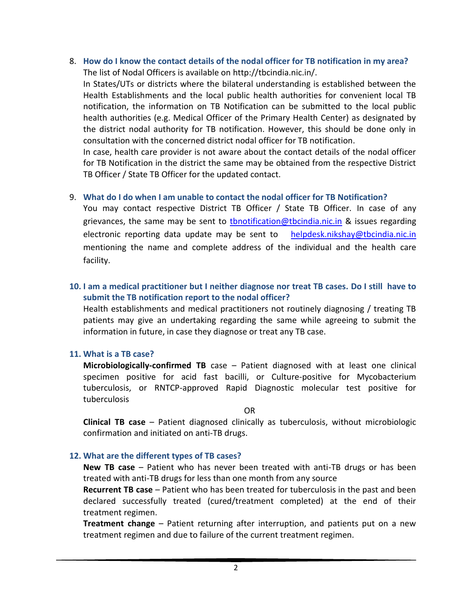8. **How do I know the contact details of the nodal officer for TB notification in my area?** The list of Nodal Officers is available on [http://tbcindia.nic.in/.](http://tbcindia.nic.in/)

In States/UTs or districts where the bilateral understanding is established between the Health Establishments and the local public health authorities for convenient local TB notification, the information on TB Notification can be submitted to the local public health authorities (e.g. Medical Officer of the Primary Health Center) as designated by the district nodal authority for TB notification. However, this should be done only in consultation with the concerned district nodal officer for TB notification.

In case, health care provider is not aware about the contact details of the nodal officer for TB Notification in the district the same may be obtained from the respective District TB Officer / State TB Officer for the updated contact.

#### 9. **What do I do when I am unable to contact the nodal officer for TB Notification?**

You may contact respective District TB Officer / State TB Officer. In case of any grievances, the same may be sent to thnotification@tbcindia.nic.in & issues regarding electronic reporting data update may be sent to [helpdesk.nikshay@tbcindia.nic.in](mailto:helpdesk.nikshay@tbcindia.nic.in) mentioning the name and complete address of the individual and the health care facility.

# **10. I am a medical practitioner but I neither diagnose nor treat TB cases. Do I still have to submit the TB notification report to the nodal officer?**

Health establishments and medical practitioners not routinely diagnosing / treating TB patients may give an undertaking regarding the same while agreeing to submit the information in future, in case they diagnose or treat any TB case.

# **11. What is a TB case?**

**Microbiologically-confirmed TB** case – Patient diagnosed with at least one clinical specimen positive for acid fast bacilli, or Culture-positive for Mycobacterium tuberculosis, or RNTCP-approved Rapid Diagnostic molecular test positive for tuberculosis

#### OR

**Clinical TB case** – Patient diagnosed clinically as tuberculosis, without microbiologic confirmation and initiated on anti-TB drugs.

#### **12. What are the different types of TB cases?**

**New TB case** – Patient who has never been treated with anti-TB drugs or has been treated with anti-TB drugs for less than one month from any source

**Recurrent TB case** – Patient who has been treated for tuberculosis in the past and been declared successfully treated (cured/treatment completed) at the end of their treatment regimen.

**Treatment change** – Patient returning after interruption, and patients put on a new treatment regimen and due to failure of the current treatment regimen.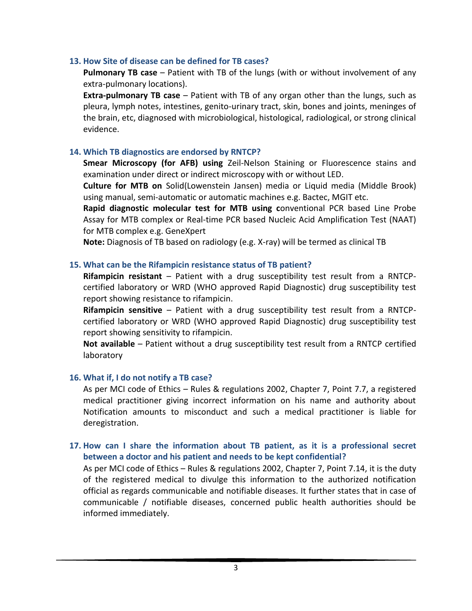#### **13. How Site of disease can be defined for TB cases?**

**Pulmonary TB case** – Patient with TB of the lungs (with or without involvement of any extra-pulmonary locations).

**Extra-pulmonary TB case** – Patient with TB of any organ other than the lungs, such as pleura, lymph notes, intestines, genito-urinary tract, skin, bones and joints, meninges of the brain, etc, diagnosed with microbiological, histological, radiological, or strong clinical evidence.

#### **14. Which TB diagnostics are endorsed by RNTCP?**

**Smear Microscopy (for AFB) using** Zeil-Nelson Staining or Fluorescence stains and examination under direct or indirect microscopy with or without LED.

**Culture for MTB on** Solid(Lowenstein Jansen) media or Liquid media (Middle Brook) using manual, semi-automatic or automatic machines e.g. Bactec, MGIT etc.

**Rapid diagnostic molecular test for MTB using c**onventional PCR based Line Probe Assay for MTB complex or Real-time PCR based Nucleic Acid Amplification Test (NAAT) for MTB complex e.g. GeneXpert

**Note:** Diagnosis of TB based on radiology (e.g. X-ray) will be termed as clinical TB

#### **15. What can be the Rifampicin resistance status of TB patient?**

**Rifampicin resistant** – Patient with a drug susceptibility test result from a RNTCPcertified laboratory or WRD (WHO approved Rapid Diagnostic) drug susceptibility test report showing resistance to rifampicin.

**Rifampicin sensitive** – Patient with a drug susceptibility test result from a RNTCPcertified laboratory or WRD (WHO approved Rapid Diagnostic) drug susceptibility test report showing sensitivity to rifampicin.

**Not available** – Patient without a drug susceptibility test result from a RNTCP certified laboratory

#### **16. What if, I do not notify a TB case?**

As per MCI code of Ethics – Rules & regulations 2002, Chapter 7, Point 7.7, a registered medical practitioner giving incorrect information on his name and authority about Notification amounts to misconduct and such a medical practitioner is liable for deregistration.

# **17. How can I share the information about TB patient, as it is a professional secret between a doctor and his patient and needs to be kept confidential?**

As per MCI code of Ethics – Rules & regulations 2002, Chapter 7, Point 7.14, it is the duty of the registered medical to divulge this information to the authorized notification official as regards communicable and notifiable diseases. It further states that in case of communicable / notifiable diseases, concerned public health authorities should be informed immediately.